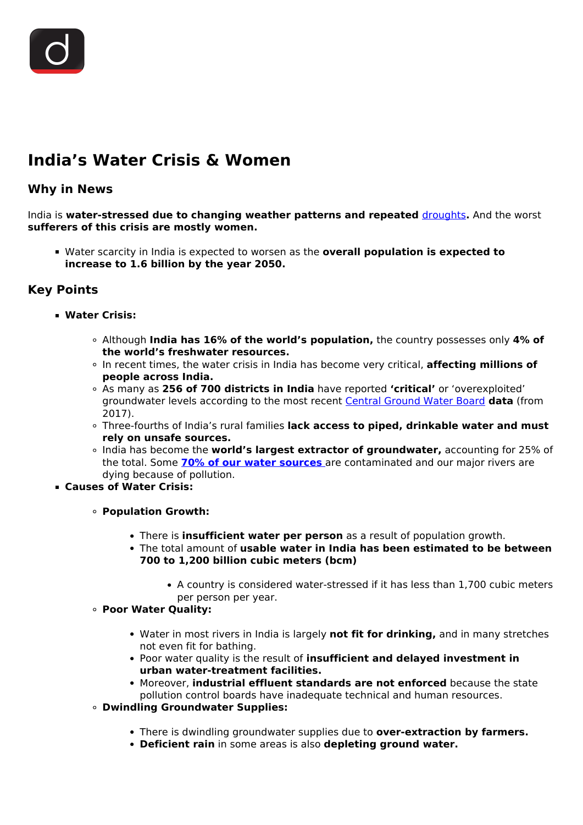# **India's Water Crisis & Women**

## **Why in News**

India is **water-stressed due to changing weather patterns and repeated** [droughts](/daily-updates/daily-news-analysis/unccd-drought-tool-box)**.** And the worst **sufferers of this crisis are mostly women.**

Water scarcity in India is expected to worsen as the **overall population is expected to increase to 1.6 billion by the year 2050.**

## **Key Points**

- **Water Crisis:**
	- Although **India has 16% of the world's population,** the country possesses only **4% of the world's freshwater resources.**
	- In recent times, the water crisis in India has become very critical, **affecting millions of people across India.**
	- As many as **256 of 700 districts in India** have reported **'critical'** or 'overexploited' groundwater levels according to the most recent [Central Ground Water Board](/daily-updates/daily-news-analysis/national-aquifer-mapping-and-management-programme) **data** (from 2017).
	- Three-fourths of India's rural families **lack access to piped, drinkable water and must rely on unsafe sources.**
	- India has become the **world's largest extractor of groundwater,** accounting for 25% of the total. Some **[70% of our water sources](/daily-updates/daily-news-analysis/deteriorating-water-quality)** are contaminated and our major rivers are dying because of pollution.
- **Causes of Water Crisis:**
	- **Population Growth:**
		- There is **insufficient water per person** as a result of population growth.
		- The total amount of **usable water in India has been estimated to be between 700 to 1,200 billion cubic meters (bcm)**
			- A country is considered water-stressed if it has less than 1,700 cubic meters per person per year.
	- **Poor Water Quality:**
		- Water in most rivers in India is largely **not fit for drinking,** and in many stretches not even fit for bathing.
		- Poor water quality is the result of **insufficient and delayed investment in urban water-treatment facilities.**
		- Moreover, **industrial effluent standards are not enforced** because the state pollution control boards have inadequate technical and human resources.
	- **Dwindling Groundwater Supplies:**
		- There is dwindling groundwater supplies due to **over-extraction by farmers.**
		- **Deficient rain** in some areas is also **depleting ground water.**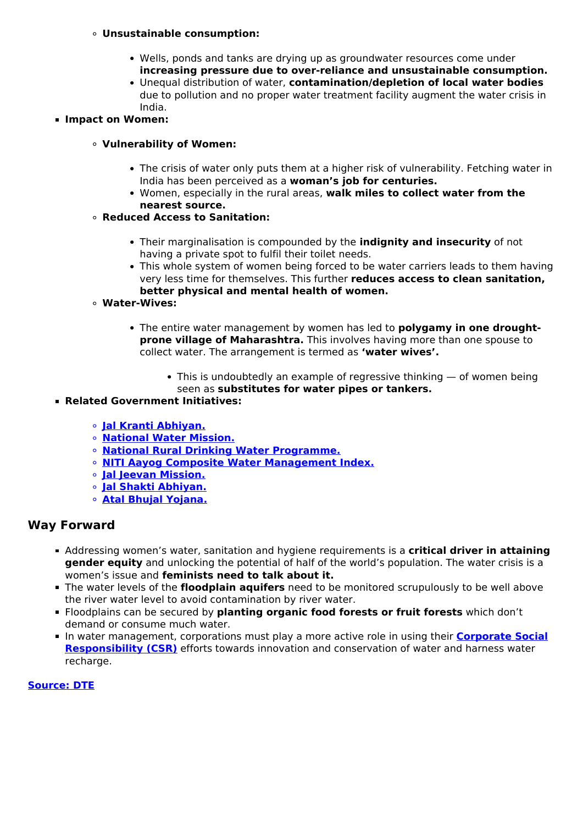#### **Unsustainable consumption:**

- Wells, ponds and tanks are drying up as groundwater resources come under **increasing pressure due to over-reliance and unsustainable consumption.**
- Unequal distribution of water, **contamination/depletion of local water bodies** due to pollution and no proper water treatment facility augment the water crisis in India.
- **Impact on Women:**

#### **Vulnerability of Women:**

- The crisis of water only puts them at a higher risk of vulnerability. Fetching water in India has been perceived as a **woman's job for centuries.**
- Women, especially in the rural areas, **walk miles to collect water from the nearest source.**

#### **Reduced Access to Sanitation:**

- Their marginalisation is compounded by the **indignity and insecurity** of not having a private spot to fulfil their toilet needs.
- This whole system of women being forced to be water carriers leads to them having very less time for themselves. This further **reduces access to clean sanitation, better physical and mental health of women.**
- **Water-Wives:**
	- The entire water management by women has led to **polygamy in one droughtprone village of Maharashtra.** This involves having more than one spouse to collect water. The arrangement is termed as **'water wives'.**
		- $\bullet$  This is undoubtedly an example of regressive thinking  $-$  of women being seen as **substitutes for water pipes or tankers.**
- **Related Government Initiatives:**
	- **[Jal Kranti Abhiyan.](/daily-updates/daily-news-analysis/national-water-awards)**
	- **[National Water Mission.](/daily-updates/daily-news-analysis/catch-the-rain-national-water-mission)**
	- **[National Rural Drinking Water Programme.](/loksabha-rajyasabha-discussions/the-big-picture-ensuring-water-security#:~:text=It%20was%20renamed%20as%20National,premises%20to%20the%20extent%20possible%E2%80%9D.)**
	- **[NITI Aayog Composite Water Management Index.](/daily-updates/daily-news-editorials/solution-to-indias-water-crisis)**
	- **[Jal Jeevan Mission.](/daily-updates/daily-news-analysis/jal-jeevan-mission-2)**
	- **[Jal Shakti Abhiyan.](/daily-updates/daily-news-analysis/jal-shakti-abhiyan)**
	- **[Atal Bhujal Yojana.](/daily-updates/daily-news-analysis/atal-bhujal-yojana)**

### **Way Forward**

- Addressing women's water, sanitation and hygiene requirements is a **critical driver in attaining gender equity** and unlocking the potential of half of the world's population. The water crisis is a women's issue and **feminists need to talk about it.**
- The water levels of the **floodplain aquifers** need to be monitored scrupulously to be well above the river water level to avoid contamination by river water.
- Floodplains can be secured by **planting organic food forests or fruit forests** which don't demand or consume much water.
- In water management, corporations must play a more active role in using their **[Corporate Social](/daily-updates/daily-news-analysis/corporate-social-responsibility-csr-expenditure) [Responsibility \(CSR\)](/daily-updates/daily-news-analysis/corporate-social-responsibility-csr-expenditure)** efforts towards innovation and conservation of water and harness water recharge.

#### **[Source: DTE](https://www.downtoearth.org.in/blog/water/india-s-water-crisis-it-is-most-acute-for-women-78472)**